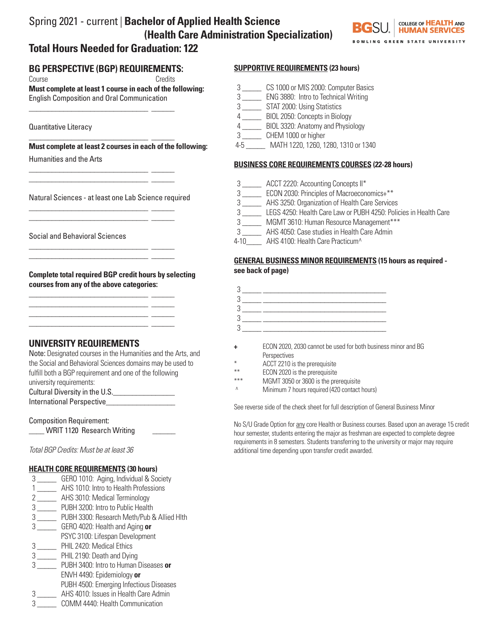# Spring 2021 - current | **Bachelor of Applied Health Science (Health Care Administration Specialization)**



# **BG PERSPECTIVE (BGP) REQUIREMENTS:**

\_\_\_\_\_\_\_\_\_\_\_\_\_\_\_\_\_\_\_\_\_\_\_\_\_\_\_\_\_\_\_ \_\_\_\_\_\_

\_\_\_\_\_\_\_\_\_\_\_\_\_\_\_\_\_\_\_\_\_\_\_\_\_\_\_\_\_\_\_ \_\_\_\_\_\_ \_\_\_\_\_\_\_\_\_\_\_\_\_\_\_\_\_\_\_\_\_\_\_\_\_\_\_\_\_\_\_ \_\_\_\_\_\_

\_\_\_\_\_\_\_\_\_\_\_\_\_\_\_\_\_\_\_\_\_\_\_\_\_\_\_\_\_\_\_ \_\_\_\_\_\_ \_\_\_\_\_\_\_\_\_\_\_\_\_\_\_\_\_\_\_\_\_\_\_\_\_\_\_\_\_\_\_ \_\_\_\_\_\_

\_\_\_\_\_\_\_\_\_\_\_\_\_\_\_\_\_\_\_\_\_\_\_\_\_\_\_\_\_\_\_ \_\_\_\_\_\_ \_\_\_\_\_\_\_\_\_\_\_\_\_\_\_\_\_\_\_\_\_\_\_\_\_\_\_\_\_\_\_ \_\_\_\_\_\_

\_\_\_\_\_\_\_\_\_\_\_\_\_\_\_\_\_\_\_\_\_\_\_\_\_\_\_\_\_\_\_ \_\_\_\_\_\_  $\frac{1}{\sqrt{2}}$  ,  $\frac{1}{\sqrt{2}}$  ,  $\frac{1}{\sqrt{2}}$  ,  $\frac{1}{\sqrt{2}}$  ,  $\frac{1}{\sqrt{2}}$  ,  $\frac{1}{\sqrt{2}}$  ,  $\frac{1}{\sqrt{2}}$  ,  $\frac{1}{\sqrt{2}}$  ,  $\frac{1}{\sqrt{2}}$  ,  $\frac{1}{\sqrt{2}}$  ,  $\frac{1}{\sqrt{2}}$  ,  $\frac{1}{\sqrt{2}}$  ,  $\frac{1}{\sqrt{2}}$  ,  $\frac{1}{\sqrt{2}}$  ,  $\frac{1}{\sqrt{2}}$  $\frac{1}{\sqrt{2}}$  ,  $\frac{1}{\sqrt{2}}$  ,  $\frac{1}{\sqrt{2}}$  ,  $\frac{1}{\sqrt{2}}$  ,  $\frac{1}{\sqrt{2}}$  ,  $\frac{1}{\sqrt{2}}$  ,  $\frac{1}{\sqrt{2}}$  ,  $\frac{1}{\sqrt{2}}$  ,  $\frac{1}{\sqrt{2}}$  ,  $\frac{1}{\sqrt{2}}$  ,  $\frac{1}{\sqrt{2}}$  ,  $\frac{1}{\sqrt{2}}$  ,  $\frac{1}{\sqrt{2}}$  ,  $\frac{1}{\sqrt{2}}$  ,  $\frac{1}{\sqrt{2}}$ \_\_\_\_\_\_\_\_\_\_\_\_\_\_\_\_\_\_\_\_\_\_\_\_\_\_\_\_\_\_\_ \_\_\_\_\_\_

Course Credits

**Must complete at least 1 course in each of the following:**  English Composition and Oral Communication

Quantitative Literacy

\_\_\_\_\_\_\_\_\_\_\_\_\_\_\_\_\_\_\_\_\_\_\_\_\_\_\_\_\_\_\_ \_\_\_\_\_\_ **Must complete at least 2 courses in each of the following:**

Humanities and the Arts

Natural Sciences - at least one Lab Science required

Social and Behavioral Sciences

**Complete total required BGP credit hours by selecting courses from any of the above categories:**

# **UNIVERSITY REQUIREMENTS**

Note: Designated courses in the Humanities and the Arts, and the Social and Behavioral Sciences domains may be used to fulfill both a BGP requirement and one of the following university requirements:

Cultural Diversity in the U.S.\_\_\_\_\_\_\_\_\_\_\_\_\_\_\_\_

International Perspective\_\_\_\_\_\_\_\_\_\_\_\_\_\_\_\_\_\_

Composition Requirement: \_\_\_\_ WRIT 1120 Research Writing \_\_\_\_\_\_

*Total BGP Credits: Must be at least 36*

## **HEALTH CORE REQUIREMENTS (30 hours)**

- 3 \_\_\_\_\_ GERO 1010: Aging, Individual & Society
- 1 \_\_\_\_\_ AHS 1010: Intro to Health Professions
- 2 \_\_\_\_\_ AHS 3010: Medical Terminology
- 3 \_\_\_\_\_ PUBH 3200: Intro to Public Health
- 3 \_\_\_\_\_ PUBH 3300: Research Meth/Pub & Allied Hlth
- 3 \_\_\_\_\_ GERO 4020: Health and Aging **or**
- PSYC 3100: Lifespan Development
- 3 \_\_\_\_\_ PHIL 2420: Medical Ethics
- 3 \_\_\_\_\_ PHIL 2190: Death and Dying
- 3 \_\_\_\_\_ PUBH 3400: Intro to Human Diseases **or** ENVH 4490: Epidemiology **or**
- PUBH 4500: Emerging Infectious Diseases
- 3 \_\_\_\_\_ AHS 4010: Issues in Health Care Admin
- 3 \_\_\_\_\_ COMM 4440: Health Communication

## **SUPPORTIVE REQUIREMENTS (23 hours)**

- 3 \_\_\_\_\_ CS 1000 or MIS 2000: Computer Basics
- 3 \_\_\_\_\_ ENG 3880: Intro to Technical Writing
- 3 \_\_\_\_\_ STAT 2000: Using Statistics
- 4 \_\_\_\_\_ BIOL 2050: Concepts in Biology
- 4 \_\_\_\_\_ BIOL 3320: Anatomy and Physiology
- 3 \_\_\_\_\_ CHEM 1000 or higher
- 4-5 \_\_\_\_\_ MATH 1220, 1260, 1280, 1310 or 1340

## **BUSINESS CORE REQUIREMENTS COURSES (22-28 hours)**

- 3 \_\_\_\_\_ ACCT 2220: Accounting Concepts II\*
- 3 \_\_\_\_\_ ECON 2030: Principles of Macroeconomics+\*\*
- 3 \_\_\_\_\_ AHS 3250: Organization of Health Care Services
- 3 \_\_\_\_\_ LEGS 4250: Health Care Law or PUBH 4250: Policies in Health Care
- 3 \_\_\_\_\_ MGMT 3610: Human Resource Management\*\*\*
- 3 \_\_\_\_\_ AHS 4050: Case studies in Health Care Admin
- 4-10 AHS 4100: Health Care Practicum<sup>^</sup>

#### **GENERAL BUSINESS MINOR REQUIREMENTS (15 hours as required see back of page)**



- **+** ECON 2020, 2030 cannot be used for both business minor and BG **Perspectives**
- \* ACCT 2210 is the prerequisite
- \*\* ECON 2020 is the prerequisite
- MGMT 3050 or 3600 is the prerequisite
- ^ Minimum 7 hours required (420 contact hours)

See reverse side of the check sheet for full description of General Business Minor

No S/U Grade Option for any core Health or Business courses. Based upon an average 15 credit hour semester, students entering the major as freshman are expected to complete degree requirements in 8 semesters. Students transferring to the university or major may require additional time depending upon transfer credit awarded.